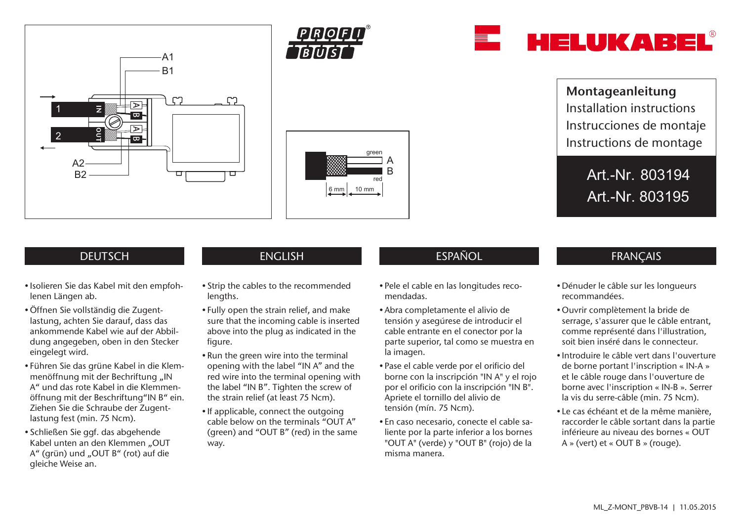







Montageanleitung Installation instructions Instrucciones de montaje Instructions de montage

> Art.-Nr. 803194 Art.-Nr. 803195

# **DEUTSCH**

- Isolieren Sie das Kabel mit den empfohlenen Längen ab.
- •Öffnen Sie vollständig die Zugentlastung, achten Sie darauf, dass das ankommende Kabel wie auf der Abbildung angegeben, oben in den Stecker eingelegt wird.
- Führen Sie das grüne Kabel in die Klemmenöffnung mit der Bechriftung "IN A" und das rote Kabel in die Klemmenöffnung mit der Beschriftung"IN B" ein. Ziehen Sie die Schraube der Zugentlastung fest (min. 75 Ncm).
- Schließen Sie ggf. das abgehende Kabel unten an den Klemmen "OUT A" (grün) und "OUT B" (rot) auf die gleiche Weise an.

- Strip the cables to the recommended lengths.
- Fully open the strain relief, and make sure that the incoming cable is inserted above into the plug as indicated in the figure.
- Run the green wire into the terminal opening with the label "IN A" and the red wire into the terminal opening with the label "IN B". Tighten the screw of the strain relief (at least 75 Ncm).
- If applicable, connect the outgoing cable below on the terminals "OUT A" (green) and "OUT B" (red) in the same way.

# ENGLISH ESPAÑOL ESPAÑOL FRANÇAIS

- Pele el cable en las longitudes recomendadas.
- Abra completamente el alivio de tensión y asegúrese de introducir el cable entrante en el conector por la parte superior, tal como se muestra en la imagen.
- Pase el cable verde por el orificio del borne con la inscripción "IN A" y el rojo por el orificio con la inscripción "IN B". Apriete el tornillo del alivio de tensión (mín. 75 Ncm).
- En caso necesario, conecte el cable saliente por la parte inferior a los bornes "OUT A" (verde) y "OUT B" (rojo) de la misma manera.

- Dénuder le câble sur les longueurs recommandées.
- •Ouvrir complètement la bride de serrage, s'assurer que le câble entrant, comme représenté dans l'illustration, soit bien inséré dans le connecteur.
- Introduire le câble vert dans l'ouverture de borne portant l'inscription « IN-A » et le câble rouge dans l'ouverture de borne avec l'inscription « IN-B ». Serrer la vis du serre-câble (min. 75 Ncm).
- Le cas échéant et de la même manière, raccorder le câble sortant dans la partie inférieure au niveau des bornes « OUT A » (vert) et « OUT B » (rouge).